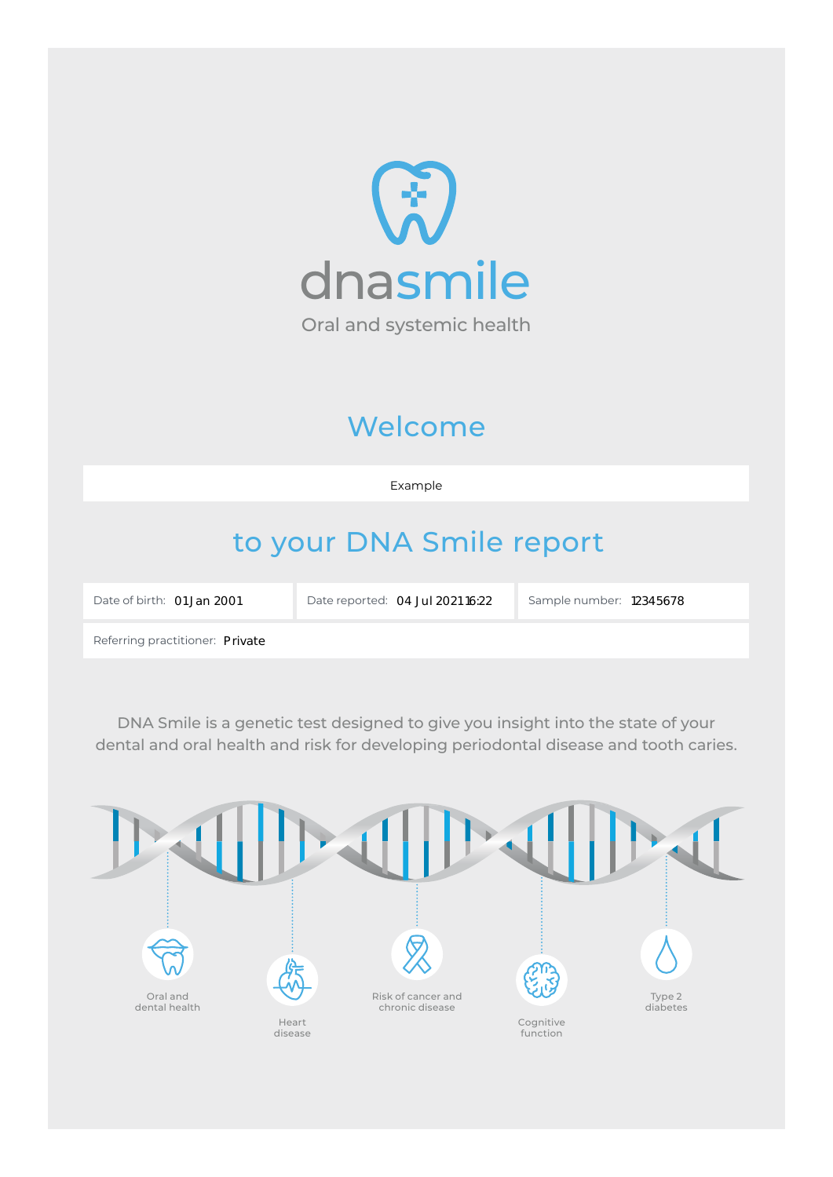

# Welcome

Example

# to your DNA Smile report

Date of birth: 01 Jan 2001

Date reported: 04 Jul 2021 16:22 | Sample number: 12345678

Private 01 Jan 2001 04 Jul 2021 16:22 <sup>12345678</sup>

Referring practitioner: Private

DNA Smile is a genetic test designed to give you insight into the state of your dental and oral health and risk for developing periodontal disease and tooth caries.

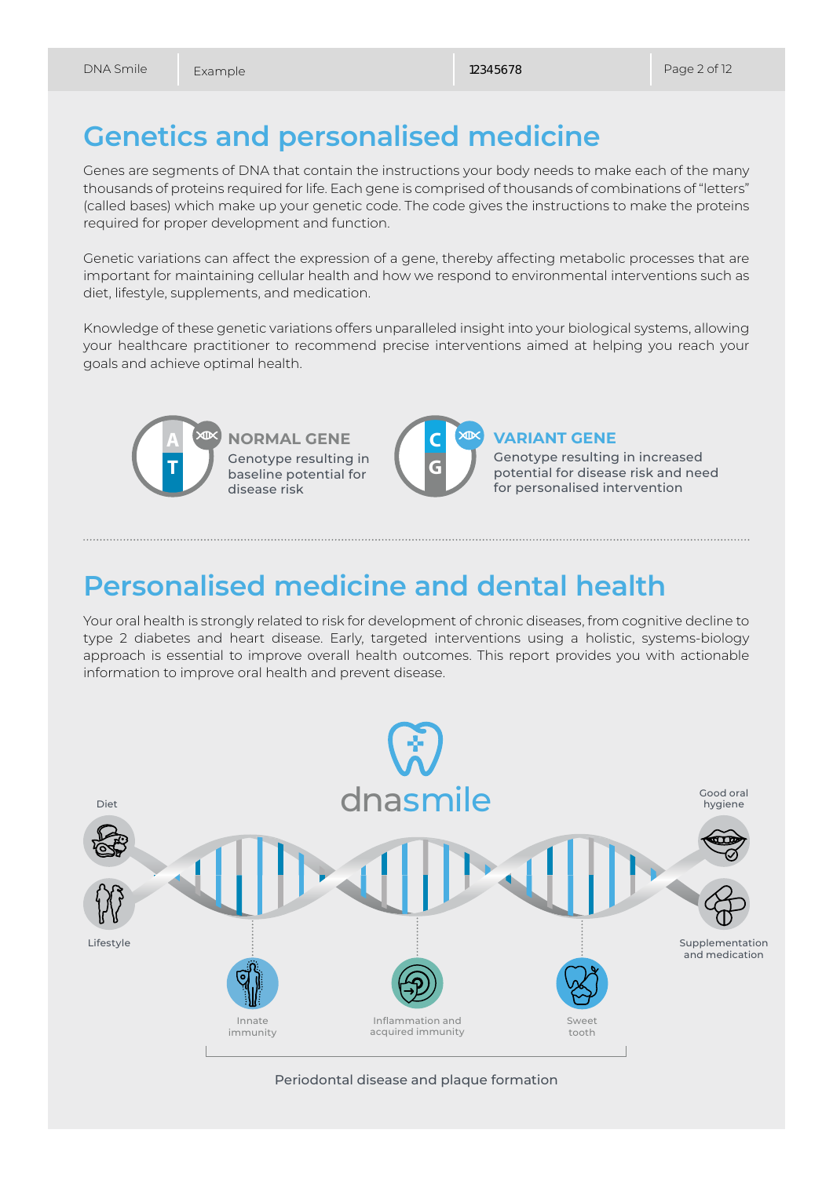## **Genetics and personalised medicine**

Genes are segments of DNA that contain the instructions your body needs to make each of the many thousands of proteins required for life. Each gene is comprised of thousands of combinations of "letters" (called bases) which make up your genetic code. The code gives the instructions to make the proteins required for proper development and function.

Genetic variations can affect the expression of a gene, thereby affecting metabolic processes that are important for maintaining cellular health and how we respond to environmental interventions such as diet, lifestyle, supplements, and medication.

Knowledge of these genetic variations offers unparalleled insight into your biological systems, allowing your healthcare practitioner to recommend precise interventions aimed at helping you reach your goals and achieve optimal health.



**NORMAL GENE** Genotype resulting in baseline potential for disease risk



### **VARIANT GENE**

Genotype resulting in increased potential for disease risk and need for personalised intervention

## **Personalised medicine and dental health**

Your oral health is strongly related to risk for development of chronic diseases, from cognitive decline to type 2 diabetes and heart disease. Early, targeted interventions using a holistic, systems-biology approach is essential to improve overall health outcomes. This report provides you with actionable information to improve oral health and prevent disease.



#### Periodontal disease and plaque formation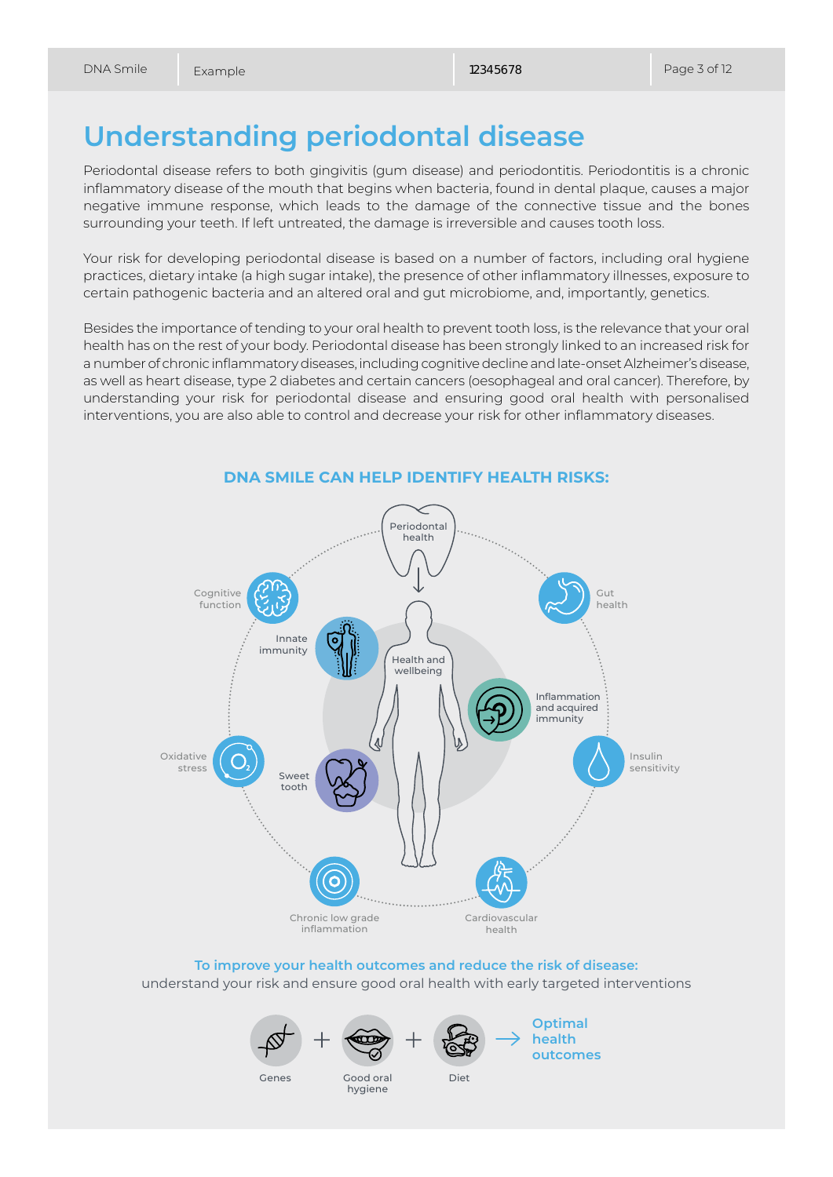## **Understanding periodontal disease**

Periodontal disease refers to both gingivitis (gum disease) and periodontitis. Periodontitis is a chronic inflammatory disease of the mouth that begins when bacteria, found in dental plaque, causes a major negative immune response, which leads to the damage of the connective tissue and the bones surrounding your teeth. If left untreated, the damage is irreversible and causes tooth loss.

Your risk for developing periodontal disease is based on a number of factors, including oral hygiene practices, dietary intake (a high sugar intake), the presence of other inflammatory illnesses, exposure to certain pathogenic bacteria and an altered oral and gut microbiome, and, importantly, genetics.

Besides the importance of tending to your oral health to prevent tooth loss, is the relevance that your oral health has on the rest of your body. Periodontal disease has been strongly linked to an increased risk for a number of chronic inflammatory diseases, including cognitive decline and late-onset Alzheimer's disease, as well as heart disease, type 2 diabetes and certain cancers (oesophageal and oral cancer). Therefore, by understanding your risk for periodontal disease and ensuring good oral health with personalised interventions, you are also able to control and decrease your risk for other inflammatory diseases.



#### **DNA SMILE CAN HELP IDENTIFY HEALTH RISKS:**

**To improve your health outcomes and reduce the risk of disease:**  understand your risk and ensure good oral health with early targeted interventions





**Optimal health outcomes**

Genes

Good oral Diet hygiene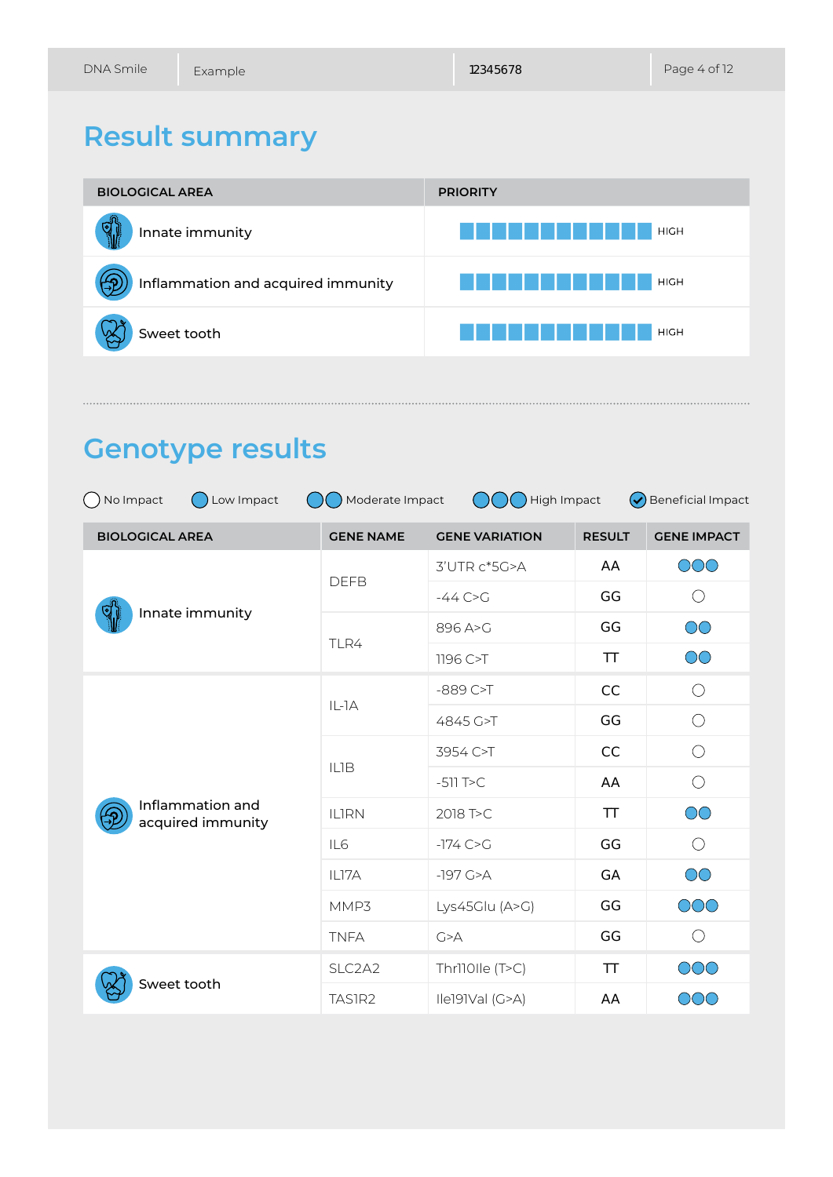# **Result summary**



## **Genotype results**

| () No Impact<br>Moderate Impact<br>High Impact<br><b>Beneficial Impact</b><br>Low Impact<br>$(\checkmark)$ |                  |                       |               |                     |  |
|------------------------------------------------------------------------------------------------------------|------------------|-----------------------|---------------|---------------------|--|
| <b>BIOLOGICAL AREA</b>                                                                                     | <b>GENE NAME</b> | <b>GENE VARIATION</b> | <b>RESULT</b> | <b>GENE IMPACT</b>  |  |
|                                                                                                            | <b>DEFB</b>      | 3'UTR c*5G>A          | AA            | OOO                 |  |
|                                                                                                            |                  | $-44C > G$            | GG            | O                   |  |
| Innate immunity                                                                                            | TLR4             | 896 A>G               | GG            | $\circlearrowright$ |  |
|                                                                                                            |                  | 1196 C>T              | TT            | $\circlearrowright$ |  |
|                                                                                                            | $IL-IA$          | $-889$ C>T            | CC            | $\bigcirc$          |  |
|                                                                                                            |                  | 4845 G>T              | GG            | $\bigcirc$          |  |
|                                                                                                            | <b>ILIB</b>      | 3954 C>T              | CC            | $\bigcirc$          |  |
|                                                                                                            |                  | $-511$ T $>C$         | AA            | $\bigcirc$          |  |
| Inflammation and<br>acquired immunity                                                                      | <b>ILIRN</b>     | 2018 T>C              | TT            | $\circlearrowright$ |  |
|                                                                                                            | IL6              | $-174$ C $>G$         | GG            | $\bigcirc$          |  |
|                                                                                                            | IL17A            | $-197$ G $>A$         | GA            | $\circlearrowright$ |  |
|                                                                                                            | MMP3             | Lys45Glu (A>G)        | GG            | OOO                 |  |
|                                                                                                            | <b>TNFA</b>      | G > A                 | GG            | $\bigcirc$          |  |
| Sweet tooth                                                                                                | SLC2A2           | Thr110Ile (T>C)       | TT            | OOO                 |  |
|                                                                                                            | TAS1R2           | Ile191Val (G>A)       | AA            | OOO                 |  |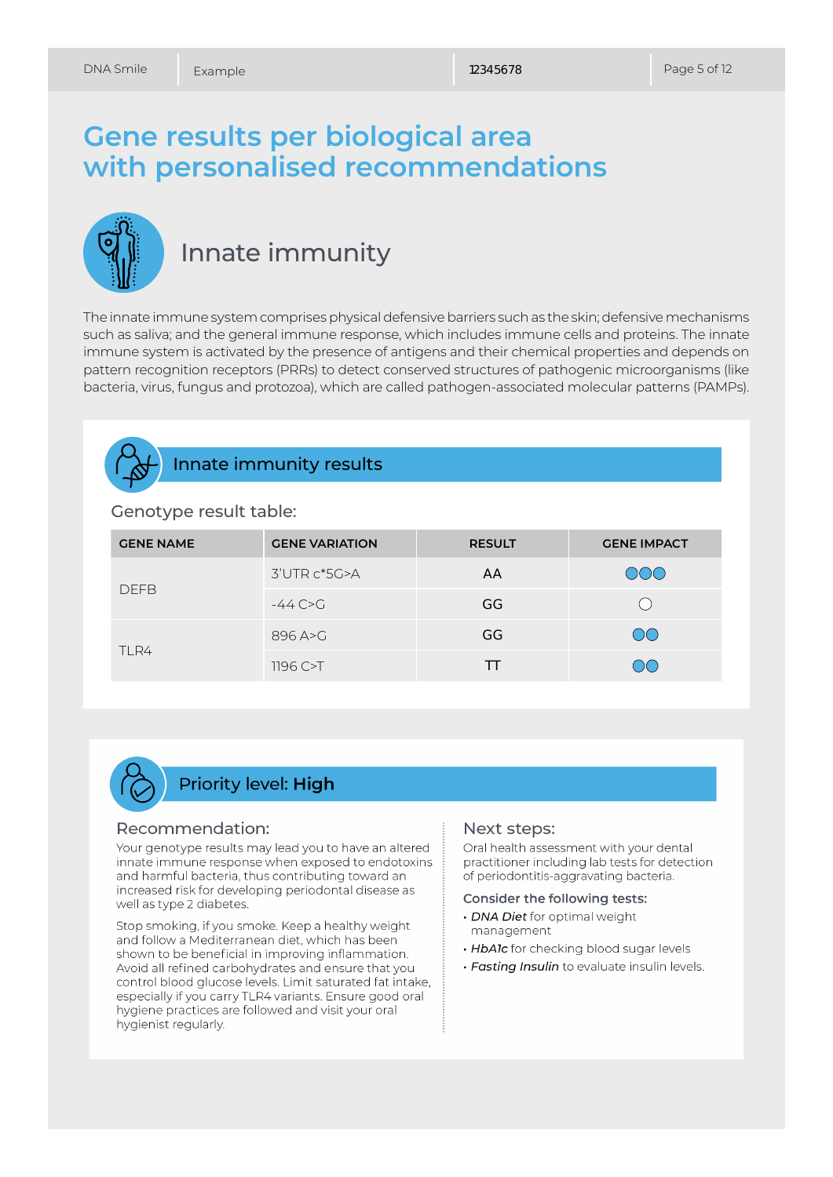## **Gene results per biological area with personalised recommendations**



## Innate immunity

The innate immune system comprises physical defensive barriers such as the skin; defensive mechanisms such as saliva; and the general immune response, which includes immune cells and proteins. The innate immune system is activated by the presence of antigens and their chemical properties and depends on pattern recognition receptors (PRRs) to detect conserved structures of pathogenic microorganisms (like bacteria, virus, fungus and protozoa), which are called pathogen-associated molecular patterns (PAMPs).

### Innate immunity results

#### Genotype result table:

| <b>GENE NAME</b> | <b>GENE VARIATION</b> | <b>RESULT</b> | <b>GENE IMPACT</b> |
|------------------|-----------------------|---------------|--------------------|
| <b>DEFB</b>      | 3'UTR c*5G>A          | AA            | <b>OOQ</b>         |
|                  | $-44$ C $\sim$ G      | GG            |                    |
| TLR4             | 896 A>G               | GG            | $\bigcirc$         |
|                  | 1196C > T             | ТT            | OO                 |

## **Priority level: High**

#### Recommendation:

Your genotype results may lead you to have an altered innate immune response when exposed to endotoxins and harmful bacteria, thus contributing toward an increased risk for developing periodontal disease as well as type 2 diabetes.

Stop smoking, if you smoke. Keep a healthy weight and follow a Mediterranean diet, which has been shown to be beneficial in improving inflammation. Avoid all refined carbohydrates and ensure that you control blood glucose levels. Limit saturated fat intake, especially if you carry TLR4 variants. Ensure good oral hygiene practices are followed and visit your oral hygienist regularly.

#### Next steps:

Oral health assessment with your dental practitioner including lab tests for detection of periodontitis-aggravating bacteria.

#### Consider the following tests:

- · DNA Diet for optimal weight management
- . HbAlc for checking blood sugar levels
- · Fasting Insulin to evaluate insulin levels.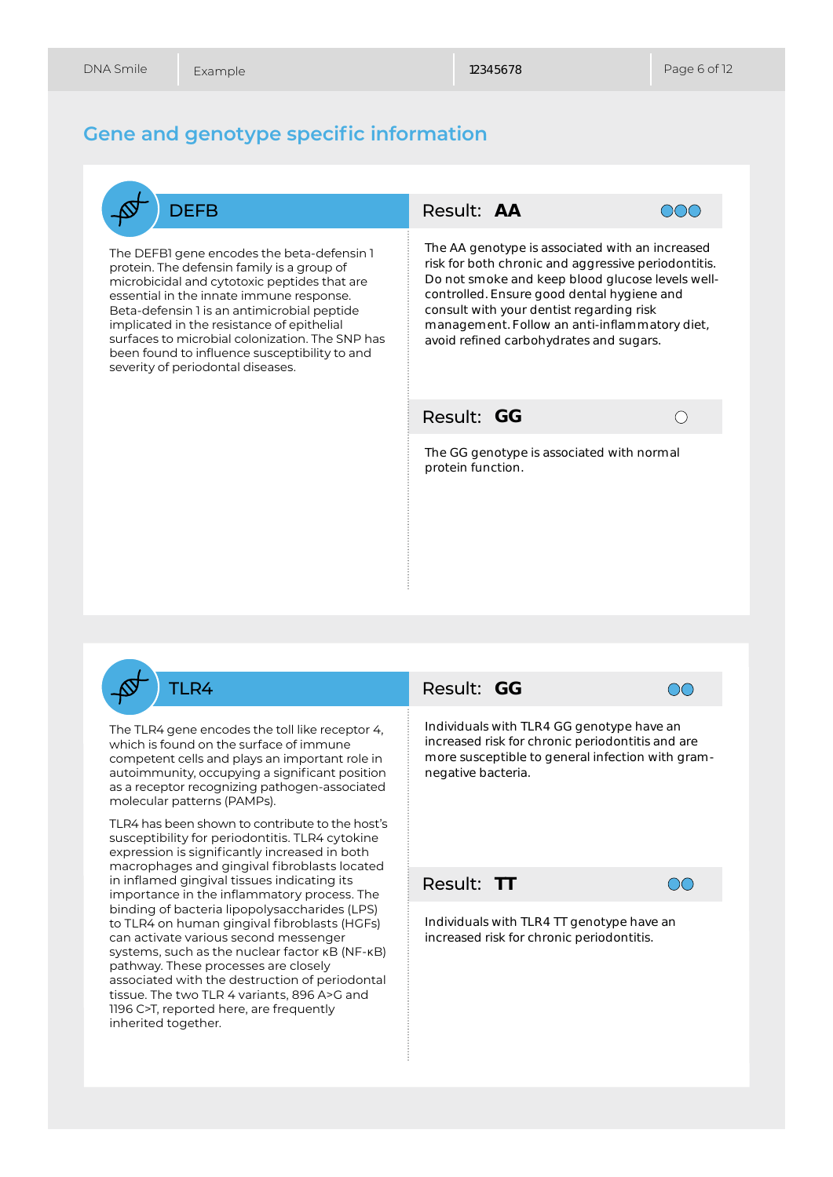### **Gene and genotype specific information**



The DEFB1 gene encodes the beta-defensin 1 protein. The defensin family is a group of microbicidal and cytotoxic peptides that are essential in the innate immune response. Beta-defensin 1 is an antimicrobial peptide implicated in the resistance of epithelial surfaces to microbial colonization. The SNP has been found to influence susceptibility to and severity of periodontal diseases.





AA<br>
otype chright chright and an and the carrier of the carrier of the carrier of the carrier of the second with the second with the christ **TT** The AA genotype is associated with an increased risk for both chronic and aggressive periodontitis. Do not smoke and keep blood glucose levels wellcontrolled. Ensure good dental hygiene and consult with your dentist regarding risk management. Follow an anti-inflammatory diet, avoid refined carbohydrates and sugars.

Result:



The GG genotype is associated with normal protein function.

TLR4

The TLR4 gene encodes the toll like receptor 4, which is found on the surface of immune competent cells and plays an important role in autoimmunity, occupying a significant position as a receptor recognizing pathogen-associated molecular patterns (PAMPs).

TLR4 has been shown to contribute to the host's susceptibility for periodontitis. TLR4 cytokine expression is significantly increased in both macrophages and gingival fibroblasts located in inflamed gingival tissues indicating its importance in the inflammatory process. The binding of bacteria lipopolysaccharides (LPS) to TLR4 on human gingival fibroblasts (HGFs) can activate various second messenger systems, such as the nuclear factor κB (NF-κB) pathway. These processes are closely associated with the destruction of periodontal tissue. The two TLR 4 variants, 896 A>G and 1196 C>T, reported here, are frequently inherited together.

### Result: GG



Individuals with TLR4 GG genotype have an increased risk for chronic periodontitis and are more susceptible to general infection with gramnegative bacteria.

Result:



Individuals with TLR4 TT genotype have an increased risk for chronic periodontitis.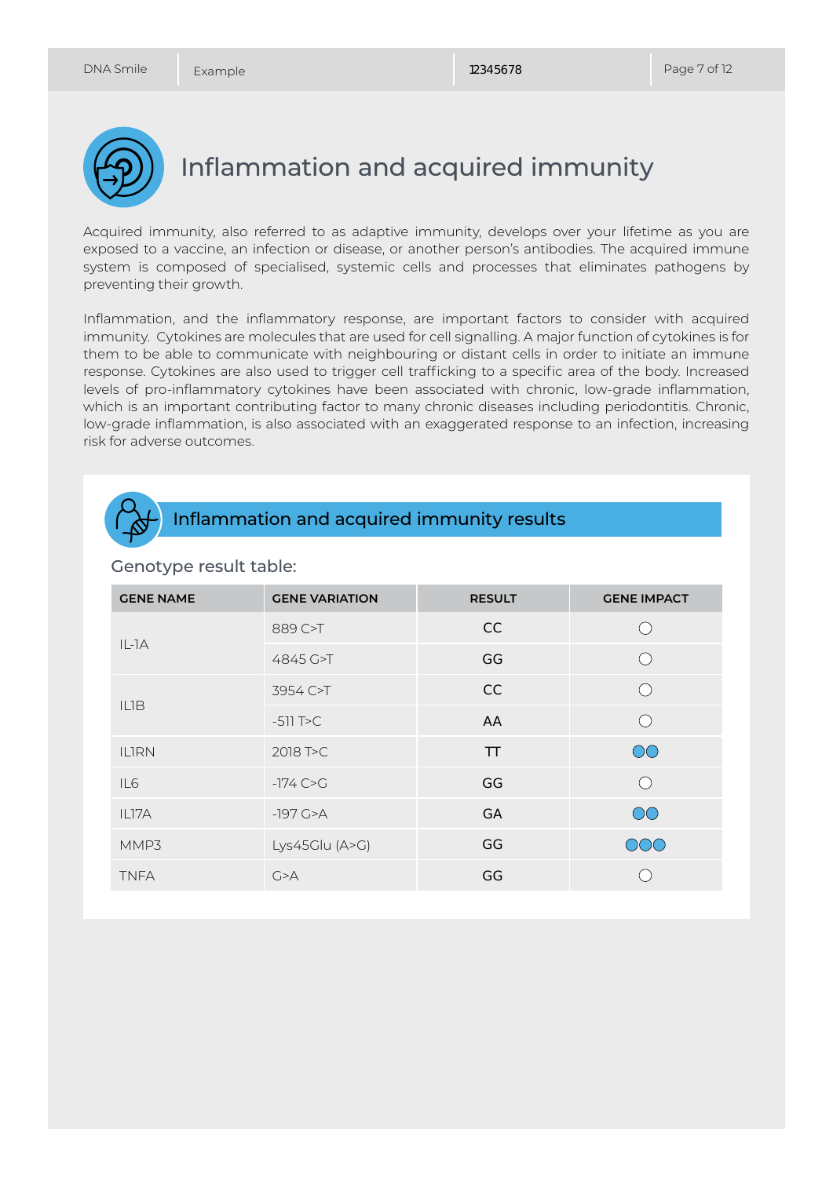

Inflammation and acquired immunity

Acquired immunity, also referred to as adaptive immunity, develops over your lifetime as you are exposed to a vaccine, an infection or disease, or another person's antibodies. The acquired immune system is composed of specialised, systemic cells and processes that eliminates pathogens by preventing their growth.

Inflammation, and the inflammatory response, are important factors to consider with acquired immunity. Cytokines are molecules that are used for cell signalling. A major function of cytokines is for them to be able to communicate with neighbouring or distant cells in order to initiate an immune response. Cytokines are also used to trigger cell trafficking to a specific area of the body. Increased levels of pro-inflammatory cytokines have been associated with chronic, low-grade inflammation, which is an important contributing factor to many chronic diseases including periodontitis. Chronic, low-grade inflammation, is also associated with an exaggerated response to an infection, increasing risk for adverse outcomes.



### Inflammation and acquired immunity results

| <b>GENE NAME</b> | <b>GENE VARIATION</b> | <b>RESULT</b> | <b>GENE IMPACT</b> |
|------------------|-----------------------|---------------|--------------------|
| $IL-IA$          | 889 C>T               | CC            | (  )               |
|                  | 4845 G>T              | GG            | ( )                |
| <b>ILIB</b>      | 3954 C>T              | CC            |                    |
|                  | $-511$ T $>C$         | AA            |                    |
| <b>ILIRN</b>     | 2018 T>C              | <b>TT</b>     | $\overline{O}O$    |
| IL <sub>6</sub>  | $-174$ C $\sim$ G     | GG            |                    |
| ILI7A            | $-197$ G $>A$         | <b>GA</b>     | $\overline{O}O$    |
| MMP3             | Lys45Glu (A>G)        | GG            | OOO                |
| <b>TNFA</b>      | G > A                 | GG            |                    |

#### Genotype result table: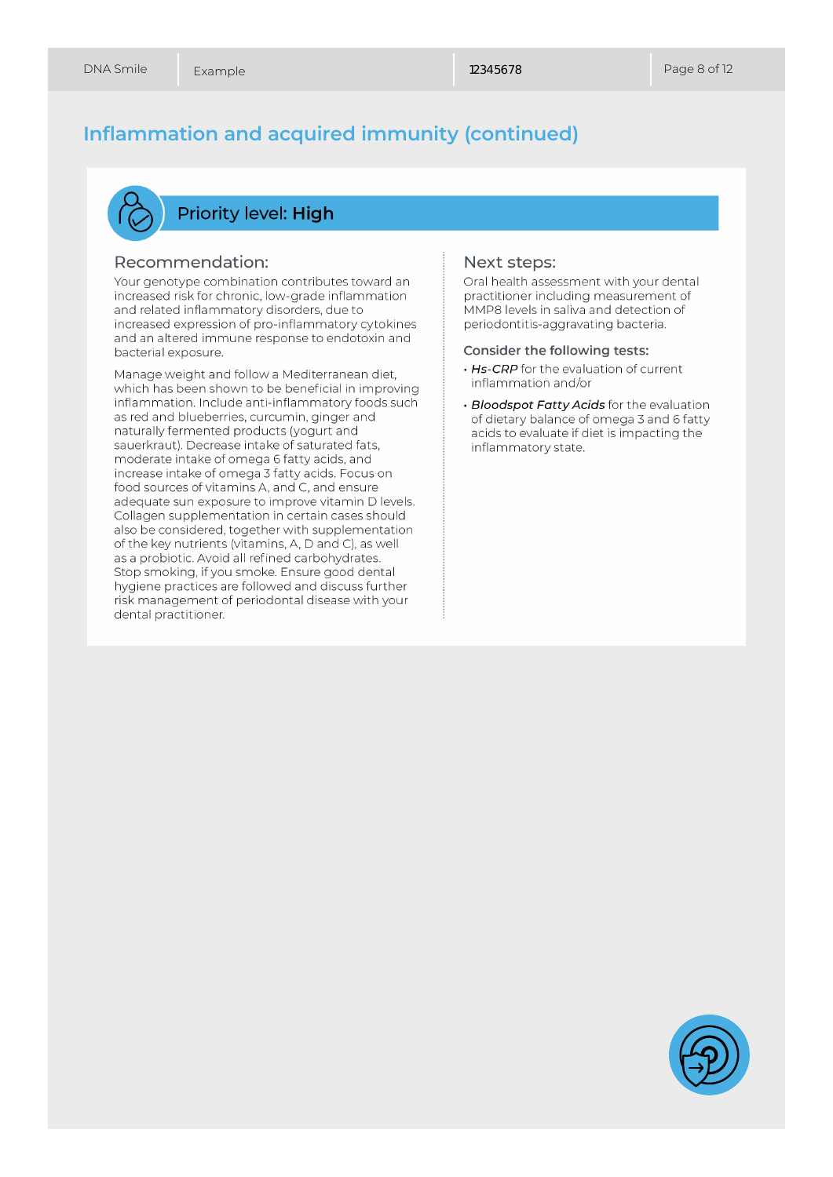## **Inflammation and acquired immunity (continued)**



### **Priority level: High**

#### Recommendation:

Your genotype combination contributes toward an increased risk for chronic, low-grade inflammation and related inflammatory disorders, due to increased expression of pro-inflammatory cytokines and an altered immune response to endotoxin and bacterial exposure.

Manage weight and follow a Mediterranean diet, which has been shown to be beneficial in improving inflammation. Include anti-inflammatory foods such as red and blueberries, curcumin, ginger and naturally fermented products (yogurt and sauerkraut). Decrease intake of saturated fats, moderate intake of omega 6 fatty acids, and increase intake of omega 3 fatty acids. Focus on food sources of vitamins A, and C, and ensure adequate sun exposure to improve vitamin D levels. Collagen supplementation in certain cases should also be considered, together with supplementation of the key nutrients (vitamins, A, D and C), as well as a probiotic. Avoid all refined carbohydrates. Stop smoking, if you smoke. Ensure good dental hygiene practices are followed and discuss further risk management of periodontal disease with your dental practitioner.

#### Next steps:

Oral health assessment with your dental practitioner including measurement of MMP8 levels in saliva and detection of periodontitis-aggravating bacteria.

#### Consider the following tests:

- . Hs-CRP for the evaluation of current inflammation and/or
- · Bloodspot Fatty Acids for the evaluation of dietary balance of omega 3 and 6 fatty acids to evaluate if diet is impacting the inflammatory state.

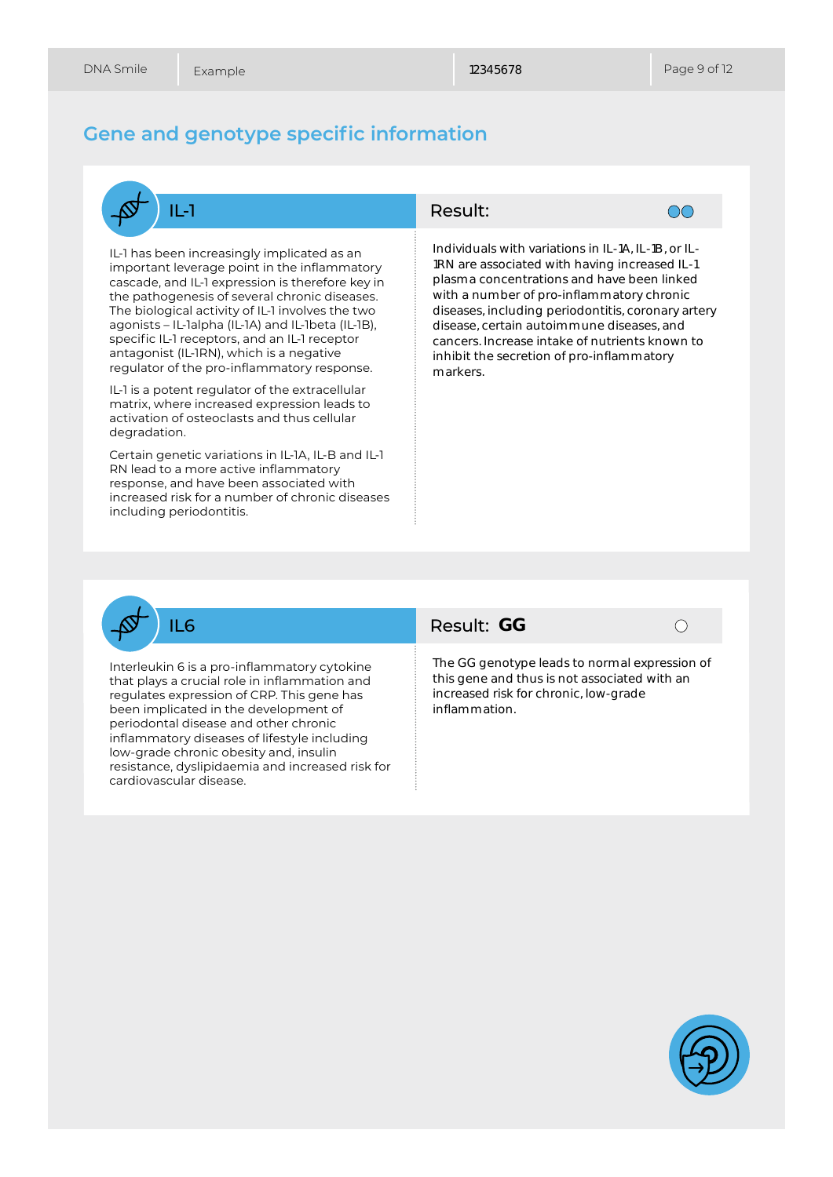### **Gene and genotype specific information**



IL-1 has been increasingly implicated as an important leverage point in the inflammatory cascade, and IL-1 expression is therefore key in the pathogenesis of several chronic diseases. The biological activity of IL-1 involves the two agonists – IL-1alpha (IL-1A) and IL-1beta (IL-1B), specific IL-1 receptors, and an IL-1 receptor antagonist (IL-1RN), which is a negative regulator of the pro-inflammatory response.

IL-1 is a potent regulator of the extracellular matrix, where increased expression leads to activation of osteoclasts and thus cellular degradation.

Certain genetic variations in IL-1A, IL-B and IL-1 RN lead to a more active inflammatory response, and have been associated with increased risk for a number of chronic diseases including periodontitis.

#### Result:



Individuals with variations in IL-1A, IL-1B, or IL-1RN are associated with having increased IL-1 plasma concentrations and have been linked with a number of pro-inflammatory chronic diseases, including periodontitis, coronary artery disease, certain autoimmune diseases, and cancers. Increase intake of nutrients known to inhibit the secretion of pro-inflammatory markers.



Interleukin 6 is a pro-inflammatory cytokine that plays a crucial role in inflammation and regulates expression of CRP. This gene has been implicated in the development of periodontal disease and other chronic inflammatory diseases of lifestyle including low-grade chronic obesity and, insulin resistance, dyslipidaemia and increased risk for cardiovascular disease.

### Result: GG



The GG genotype leads to normal expression of this gene and thus is not associated with an increased risk for chronic, low-grade inflammation.

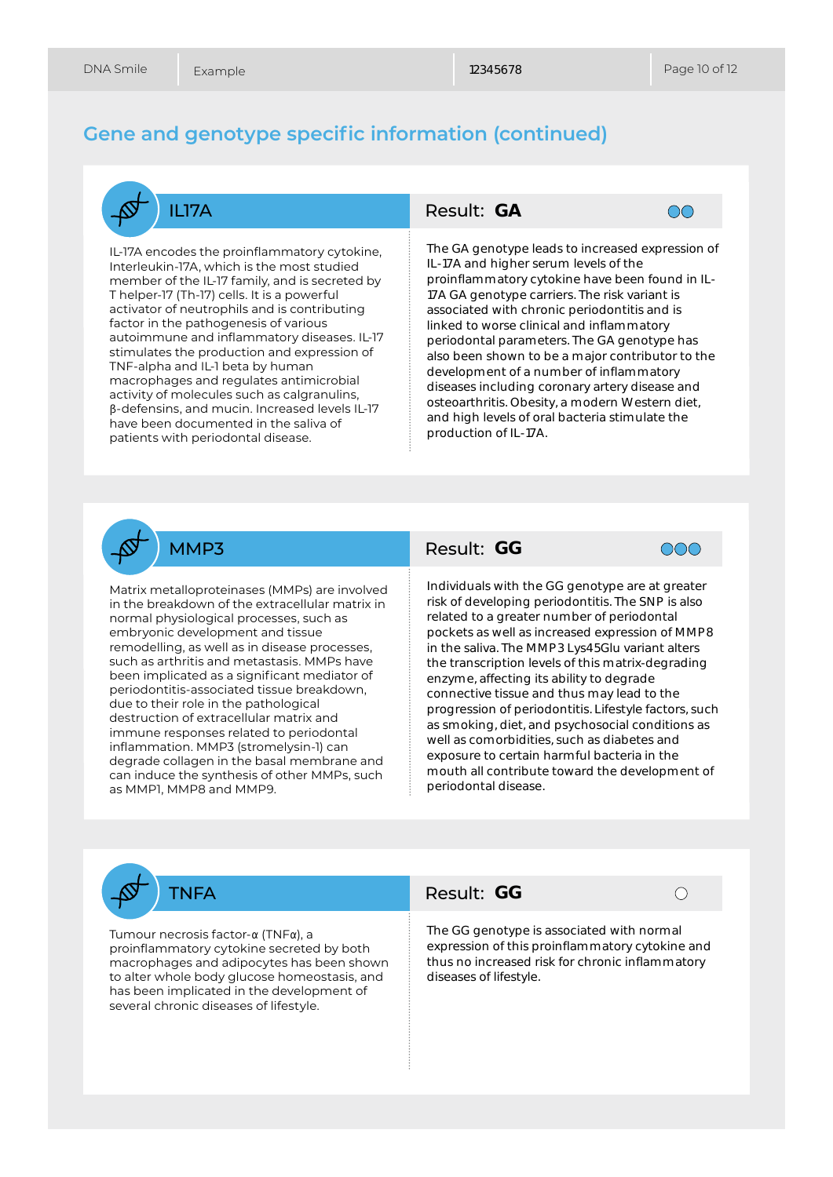### **Gene and genotype specific information (continued)**



IL-17A encodes the proinflammatory cytokine, Interleukin-17A, which is the most studied member of the IL-17 family, and is secreted by T helper-17 (Th-17) cells. It is a powerful activator of neutrophils and is contributing factor in the pathogenesis of various autoimmune and inflammatory diseases. IL-17 stimulates the production and expression of TNF-alpha and IL-1 beta by human macrophages and regulates antimicrobial activity of molecules such as calgranulins, β-defensins, and mucin. Increased levels IL-17 have been documented in the saliva of patients with periodontal disease.

### Result: GA



The GA genotype leads to increased expression of IL-17A and higher serum levels of the proinflammatory cytokine have been found in IL-17A GA genotype carriers. The risk variant is associated with chronic periodontitis and is linked to worse clinical and inflammatory periodontal parameters. The GA genotype has also been shown to be a major contributor to the development of a number of inflammatory diseases including coronary artery disease and osteoarthritis. Obesity, a modern Western diet, and high levels of oral bacteria stimulate the production of IL-17A.



Matrix metalloproteinases (MMPs) are involved in the breakdown of the extracellular matrix in normal physiological processes, such as embryonic development and tissue remodelling, as well as in disease processes, such as arthritis and metastasis. MMPs have been implicated as a significant mediator of periodontitis-associated tissue breakdown, due to their role in the pathological destruction of extracellular matrix and immune responses related to periodontal inflammation. MMP3 (stromelysin-1) can degrade collagen in the basal membrane and can induce the synthesis of other MMPs, such as MMP1, MMP8 and MMP9.

### Result: GG



**GA**<br>
notype inghator<br>
nighe ator of paramour of paramour of paramour of cluding<br>
in paramour of cluding is to be a little with loping read<br>
with loping read in the paramour of paramour of paramour of paramour of paramour Individuals with the GG genotype are at greater risk of developing periodontitis. The SNP is also related to a greater number of periodontal pockets as well as increased expression of MMP8 in the saliva. The MMP3 Lys45Glu variant alters the transcription levels of this matrix-degrading enzyme, affecting its ability to degrade connective tissue and thus may lead to the progression of periodontitis. Lifestyle factors, such as smoking, diet, and psychosocial conditions as well as comorbidities, such as diabetes and exposure to certain harmful bacteria in the mouth all contribute toward the development of periodontal disease.

TNFA

Tumour necrosis factor-α (TNFα), a proinflammatory cytokine secreted by both macrophages and adipocytes has been shown to alter whole body glucose homeostasis, and has been implicated in the development of several chronic diseases of lifestyle.

### Result: GG

The GG genotype is associated with normal expression of this proinflammatory cytokine and thus no increased risk for chronic inflammatory diseases of lifestyle.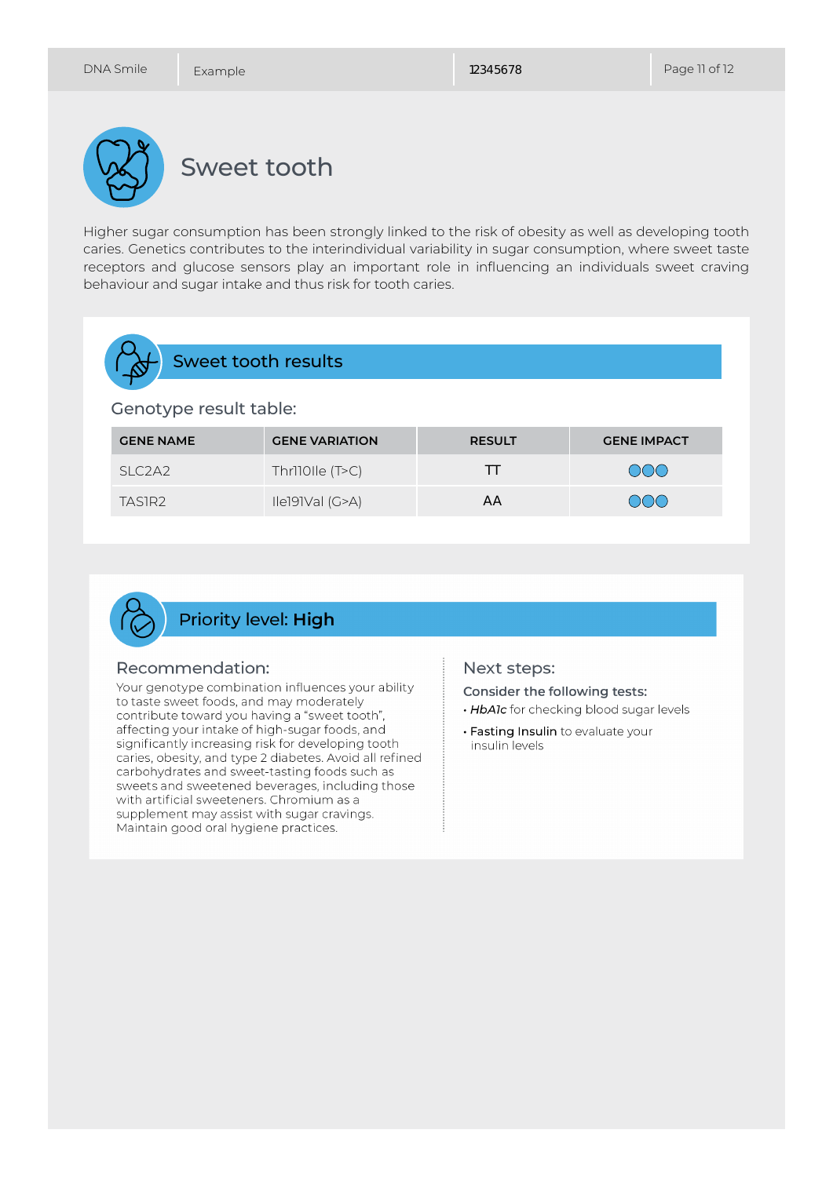

Higher sugar consumption has been strongly linked to the risk of obesity as well as developing tooth caries. Genetics contributes to the interindividual variability in sugar consumption, where sweet taste receptors and glucose sensors play an important role in influencing an individuals sweet craving behaviour and sugar intake and thus risk for tooth caries.

| Sweet tooth results    |                                 |                       |               |                    |  |  |
|------------------------|---------------------------------|-----------------------|---------------|--------------------|--|--|
| Genotype result table: |                                 |                       |               |                    |  |  |
|                        | <b>GENE NAME</b>                | <b>GENE VARIATION</b> | <b>RESULT</b> | <b>GENE IMPACT</b> |  |  |
|                        | SLC <sub>2</sub> A <sub>2</sub> | Thr110Ile (T>C)       | TΤ            | $(\ )(\ )(\ )$     |  |  |
|                        | TASIR <sub>2</sub>              | Ile191Val (G>A)       | ΑA            |                    |  |  |



### Recommendation:

Your genotype combination influences your ability to taste sweet foods, and may moderately contribute toward you having a "sweet tooth", affecting your intake of high-sugar foods, and significantly increasing risk for developing tooth caries, obesity, and type 2 diabetes. Avoid all refined carbohydrates and sweet-tasting foods such as sweets and sweetened beverages, including those with artificial sweeteners. Chromium as a supplement may assist with sugar cravings. Maintain good oral hygiene practices.

#### Next steps:

Consider the following tests:

- . HbAlc for checking blood sugar levels
- · Fasting Insulin to evaluate your insulin levels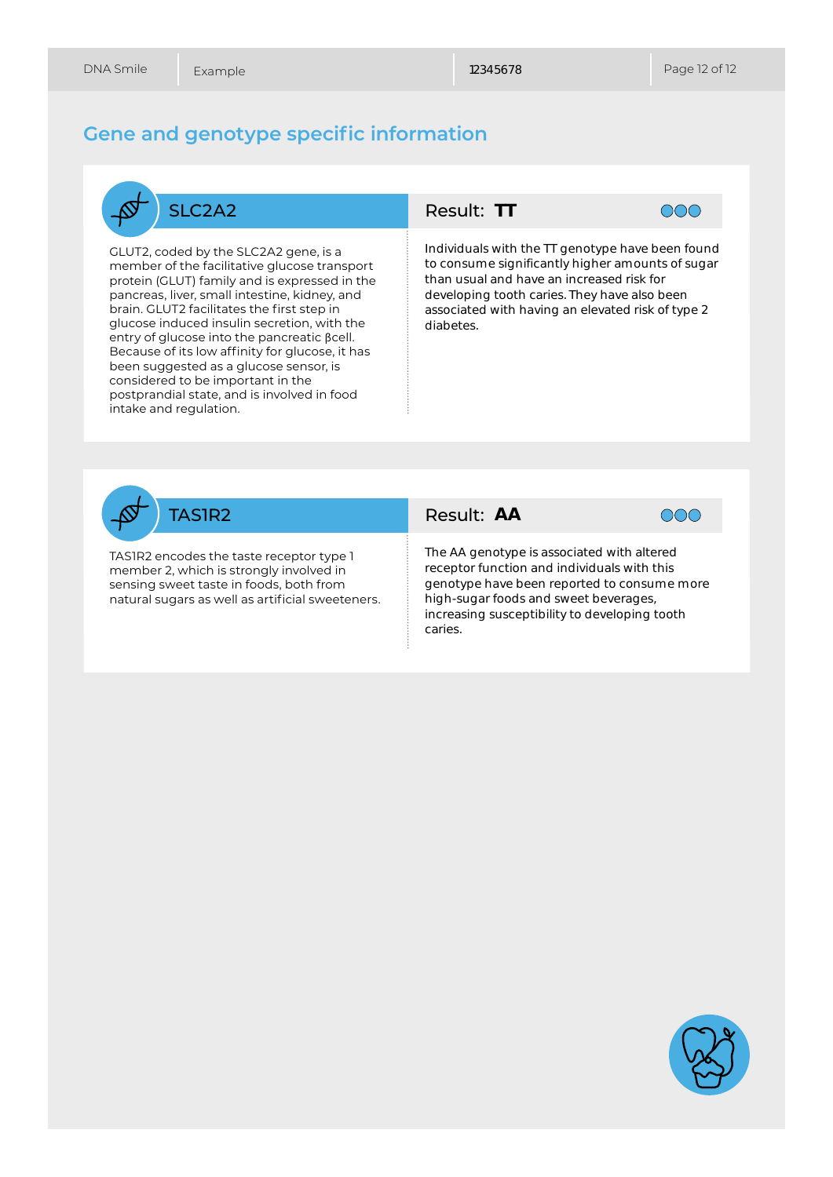### **Gene and genotype specific information**



GLUT2, coded by the SLC2A2 gene, is a member of the facilitative glucose transport protein (GLUT) family and is expressed in the pancreas, liver, small intestine, kidney, and brain. GLUT2 facilitates the first step in glucose induced insulin secretion, with the entry of glucose into the pancreatic βcell. Because of its low affinity for glucose, it has been suggested as a glucose sensor, is considered to be important in the postprandial state, and is involved in food intake and regulation.



**TT**<br>with<br>sigrand *t*<br>tootl<br>with<br>**AA** Individuals with the TT genotype have been found to consume significantly higher amounts of sugar than usual and have an increased risk for developing tooth caries. They have also been associated with having an elevated risk of type 2 diabetes.



TAS1R2 encodes the taste receptor type 1 member 2, which is strongly involved in sensing sweet taste in foods, both from natural sugars as well as artificial sweeteners.

### Result: AA



The AA genotype is associated with altered receptor function and individuals with this genotype have been reported to consume more high-sugar foods and sweet beverages, increasing susceptibility to developing tooth caries.